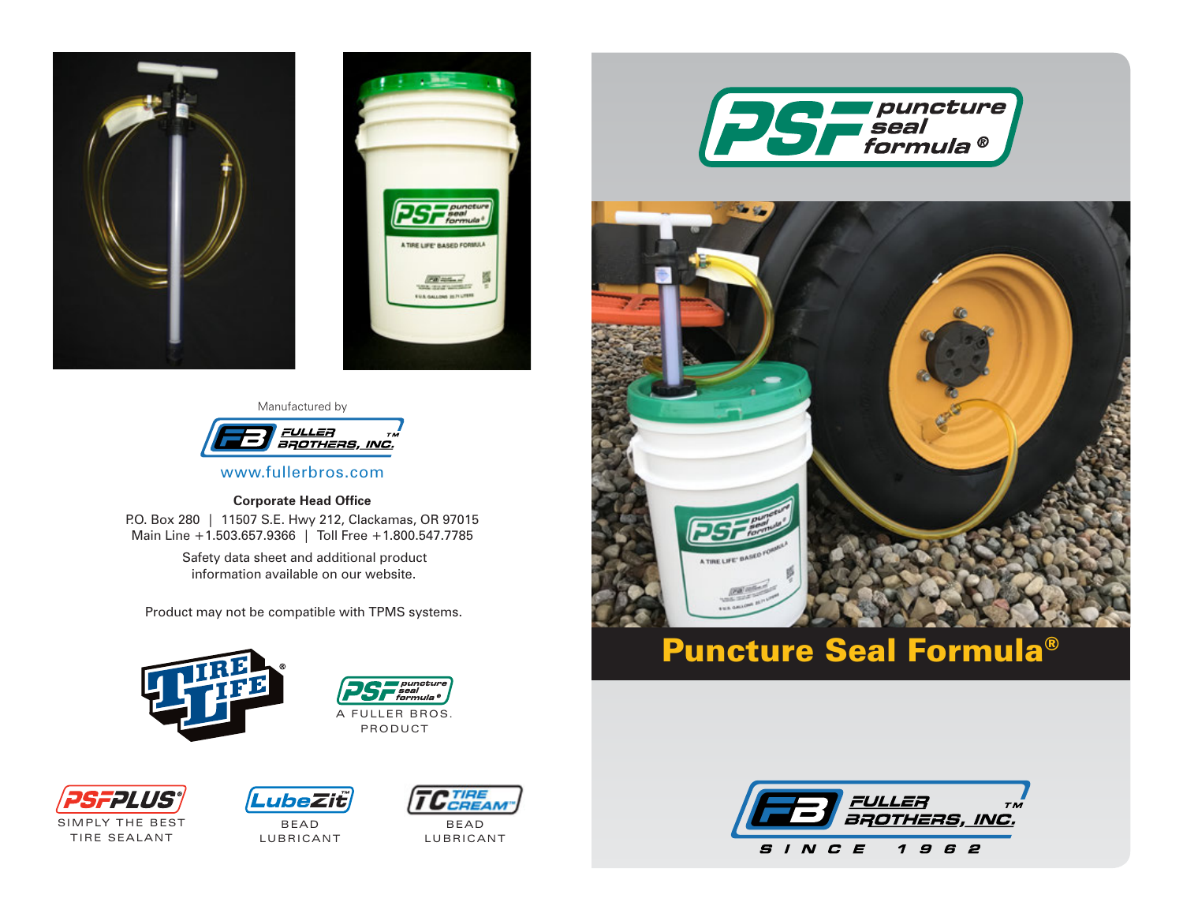



#### Manufactured by



www.fullerbros.com

#### **Corporate Head Office**

P.O. Box 280 | 11507 S.E. Hwy 212, Clackamas, OR 97015 Main Line +1.503.657.9366 | Toll Free +1.800.547.7785

> Safety data sheet and additional product information available on our website.

Product may not be compatible with TPMS systems.







SIMPLY THE BEST **TIRE SEALANT** 



BEA D **LUBRICANT** 



BEA D **LUBRICANT** 





# Puncture Seal Formula®